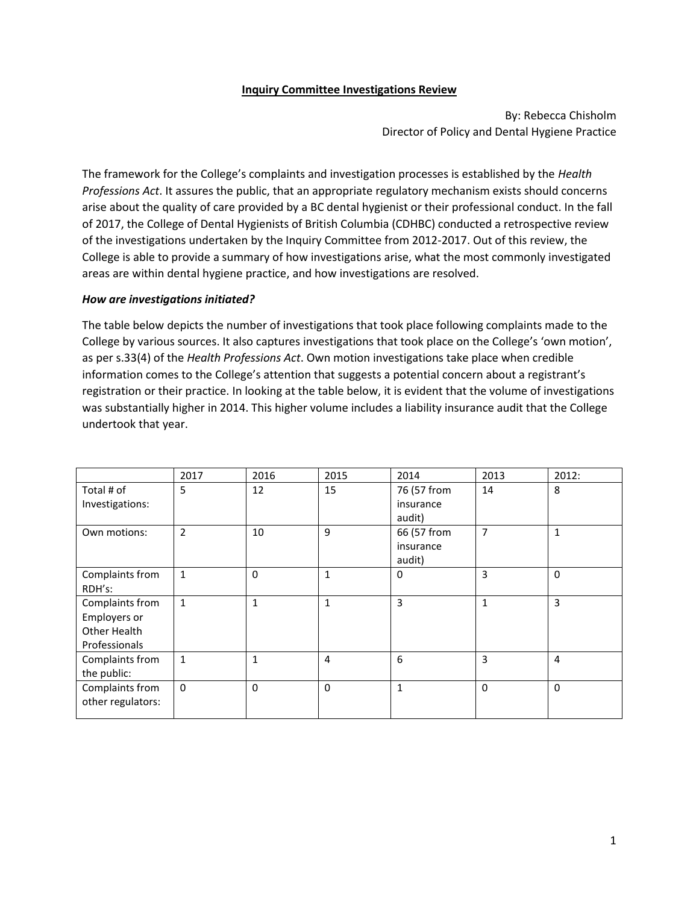## **Inquiry Committee Investigations Review**

By: Rebecca Chisholm Director of Policy and Dental Hygiene Practice

The framework for the College's complaints and investigation processes is established by the *Health Professions Act*. It assures the public, that an appropriate regulatory mechanism exists should concerns arise about the quality of care provided by a BC dental hygienist or their professional conduct. In the fall of 2017, the College of Dental Hygienists of British Columbia (CDHBC) conducted a retrospective review of the investigations undertaken by the Inquiry Committee from 2012-2017. Out of this review, the College is able to provide a summary of how investigations arise, what the most commonly investigated areas are within dental hygiene practice, and how investigations are resolved.

## *How are investigations initiated?*

The table below depicts the number of investigations that took place following complaints made to the College by various sources. It also captures investigations that took place on the College's 'own motion', as per s.33(4) of the *Health Professions Act*. Own motion investigations take place when credible information comes to the College's attention that suggests a potential concern about a registrant's registration or their practice. In looking at the table below, it is evident that the volume of investigations was substantially higher in 2014. This higher volume includes a liability insurance audit that the College undertook that year.

|                                                                  | 2017           | 2016         | 2015           | 2014                               | 2013           | 2012:        |
|------------------------------------------------------------------|----------------|--------------|----------------|------------------------------------|----------------|--------------|
| Total # of<br>Investigations:                                    | 5              | 12           | 15             | 76 (57 from<br>insurance<br>audit) | 14             | 8            |
| Own motions:                                                     | $\overline{2}$ | 10           | 9              | 66 (57 from<br>insurance<br>audit) | $\overline{7}$ | $\mathbf{1}$ |
| Complaints from<br>RDH's:                                        | $\mathbf{1}$   | $\Omega$     | $\mathbf{1}$   | $\Omega$                           | 3              | $\Omega$     |
| Complaints from<br>Employers or<br>Other Health<br>Professionals | $\mathbf{1}$   | $\mathbf{1}$ | $\mathbf{1}$   | 3                                  | $\mathbf{1}$   | 3            |
| Complaints from<br>the public:                                   | $\mathbf{1}$   | $\mathbf{1}$ | $\overline{4}$ | 6                                  | 3              | 4            |
| Complaints from<br>other regulators:                             | $\mathbf{0}$   | $\Omega$     | $\Omega$       | $\mathbf{1}$                       | $\mathbf 0$    | 0            |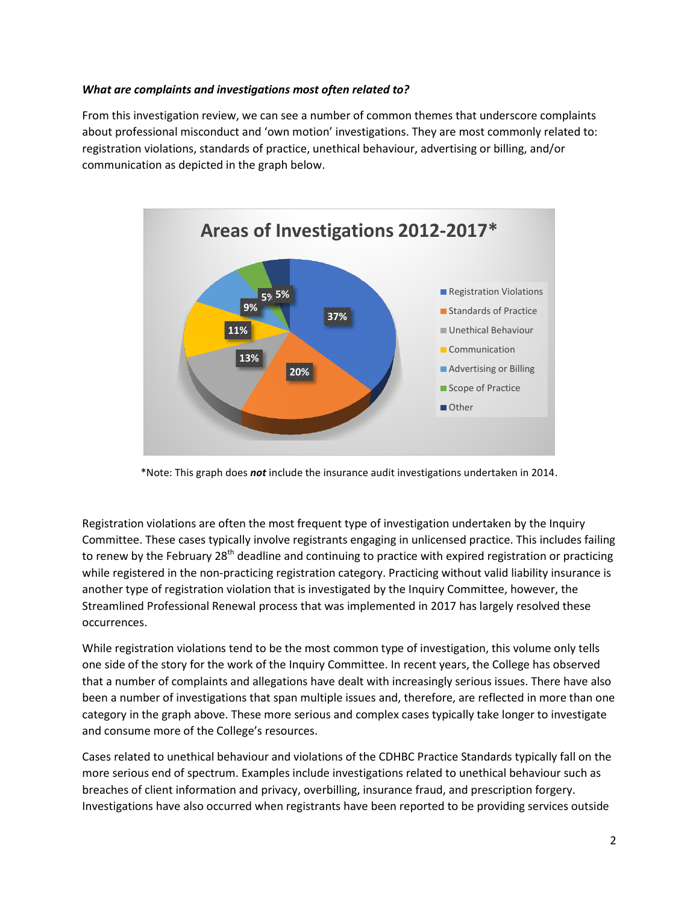## *What are complaints and investigations most often related to?*

From this investigation review, we can see a number of common themes that underscore complaints about professional misconduct and 'own motion' investigations. They are most commonly related to: registration violations, standards of practice, unethical behaviour, advertising or billing, and/or communication as depicted in the graph below.



\*Note: This graph does *not* include the insurance audit investigations undertaken in 2014.

Registration violations are often the most frequent type of investigation undertaken by the Inquiry Committee. These cases typically involve registrants engaging in unlicensed practice. This includes failing to renew by the February 28<sup>th</sup> deadline and continuing to practice with expired registration or practicing while registered in the non-practicing registration category. Practicing without valid liability insurance is another type of registration violation that is investigated by the Inquiry Committee, however, the Streamlined Professional Renewal process that was implemented in 2017 has largely resolved these occurrences.

While registration violations tend to be the most common type of investigation, this volume only tells one side of the story for the work of the Inquiry Committee. In recent years, the College has observed that a number of complaints and allegations have dealt with increasingly serious issues. There have also been a number of investigations that span multiple issues and, therefore, are reflected in more than one category in the graph above. These more serious and complex cases typically take longer to investigate and consume more of the College's resources.

Cases related to unethical behaviour and violations of the CDHBC Practice Standards typically fall on the more serious end of spectrum. Examples include investigations related to unethical behaviour such as breaches of client information and privacy, overbilling, insurance fraud, and prescription forgery. Investigations have also occurred when registrants have been reported to be providing services outside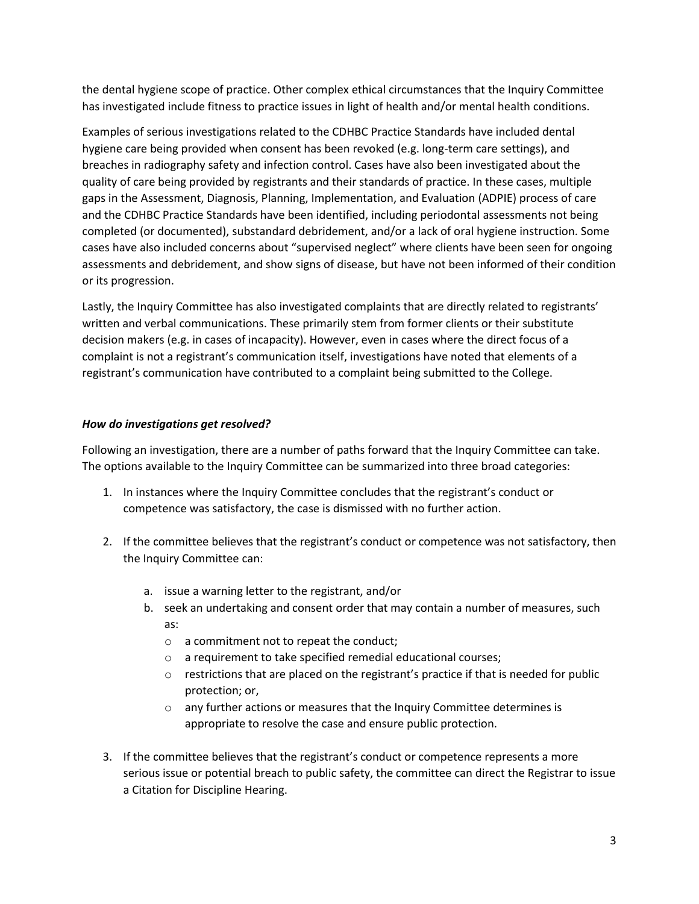the dental hygiene scope of practice. Other complex ethical circumstances that the Inquiry Committee has investigated include fitness to practice issues in light of health and/or mental health conditions.

Examples of serious investigations related to the CDHBC Practice Standards have included dental hygiene care being provided when consent has been revoked (e.g. long-term care settings), and breaches in radiography safety and infection control. Cases have also been investigated about the quality of care being provided by registrants and their standards of practice. In these cases, multiple gaps in the Assessment, Diagnosis, Planning, Implementation, and Evaluation (ADPIE) process of care and the CDHBC Practice Standards have been identified, including periodontal assessments not being completed (or documented), substandard debridement, and/or a lack of oral hygiene instruction. Some cases have also included concerns about "supervised neglect" where clients have been seen for ongoing assessments and debridement, and show signs of disease, but have not been informed of their condition or its progression.

Lastly, the Inquiry Committee has also investigated complaints that are directly related to registrants' written and verbal communications. These primarily stem from former clients or their substitute decision makers (e.g. in cases of incapacity). However, even in cases where the direct focus of a complaint is not a registrant's communication itself, investigations have noted that elements of a registrant's communication have contributed to a complaint being submitted to the College.

## *How do investigations get resolved?*

Following an investigation, there are a number of paths forward that the Inquiry Committee can take. The options available to the Inquiry Committee can be summarized into three broad categories:

- 1. In instances where the Inquiry Committee concludes that the registrant's conduct or competence was satisfactory, the case is dismissed with no further action.
- 2. If the committee believes that the registrant's conduct or competence was not satisfactory, then the Inquiry Committee can:
	- a. issue a warning letter to the registrant, and/or
	- b. seek an undertaking and consent order that may contain a number of measures, such as:
		- o a commitment not to repeat the conduct;
		- o a requirement to take specified remedial educational courses;
		- o restrictions that are placed on the registrant's practice if that is needed for public protection; or,
		- $\circ$  any further actions or measures that the Inquiry Committee determines is appropriate to resolve the case and ensure public protection.
- 3. If the committee believes that the registrant's conduct or competence represents a more serious issue or potential breach to public safety, the committee can direct the Registrar to issue a Citation for Discipline Hearing.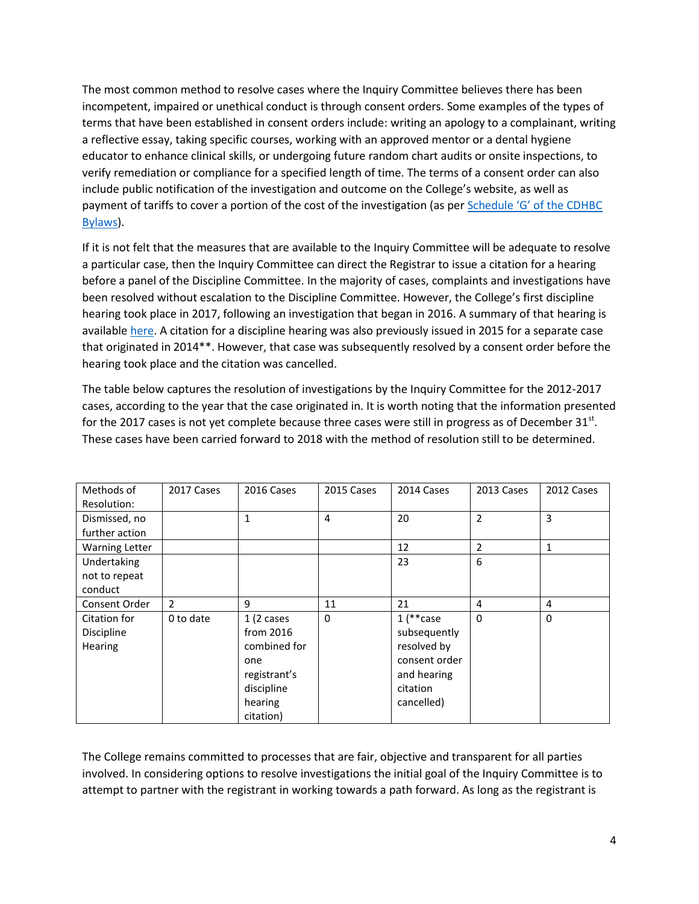The most common method to resolve cases where the Inquiry Committee believes there has been incompetent, impaired or unethical conduct is through consent orders. Some examples of the types of terms that have been established in consent orders include: writing an apology to a complainant, writing a reflective essay, taking specific courses, working with an approved mentor or a dental hygiene educator to enhance clinical skills, or undergoing future random chart audits or onsite inspections, to verify remediation or compliance for a specified length of time. The terms of a consent order can also include public notification of the investigation and outcome on the College's website, as well as payment of tariffs to cover a portion of the cost of the investigation (as per [Schedule 'G' of the CDHBC](http://www.cdhbc.com/Practice-Resources/Regulation-and-Bylaws/Schedules/Schedule-G-Continuing-Competency,-Prorating-System.aspx)  [Bylaws\)](http://www.cdhbc.com/Practice-Resources/Regulation-and-Bylaws/Schedules/Schedule-G-Continuing-Competency,-Prorating-System.aspx).

If it is not felt that the measures that are available to the Inquiry Committee will be adequate to resolve a particular case, then the Inquiry Committee can direct the Registrar to issue a citation for a hearing before a panel of the Discipline Committee. In the majority of cases, complaints and investigations have been resolved without escalation to the Discipline Committee. However, the College's first discipline hearing took place in 2017, following an investigation that began in 2016. A summary of that hearing is available [here.](http://www.cdhbc.com/Documents/Kluthe-Discipline-Summary-Article-Nov-2017.aspx) A citation for a discipline hearing was also previously issued in 2015 for a separate case that originated in 2014\*\*. However, that case was subsequently resolved by a consent order before the hearing took place and the citation was cancelled.

The table below captures the resolution of investigations by the Inquiry Committee for the 2012-2017 cases, according to the year that the case originated in. It is worth noting that the information presented for the 2017 cases is not yet complete because three cases were still in progress as of December 31<sup>st</sup>. These cases have been carried forward to 2018 with the method of resolution still to be determined.

| Methods of            | 2017 Cases     | 2016 Cases           | 2015 Cases     | 2014 Cases    | 2013 Cases     | 2012 Cases   |
|-----------------------|----------------|----------------------|----------------|---------------|----------------|--------------|
| Resolution:           |                |                      |                |               |                |              |
| Dismissed, no         |                | $\mathbf{1}$         | $\overline{4}$ | 20            | $\overline{2}$ | 3            |
| further action        |                |                      |                |               |                |              |
| <b>Warning Letter</b> |                |                      |                | 12            | $\overline{2}$ | 1            |
| Undertaking           |                |                      |                | 23            | 6              |              |
| not to repeat         |                |                      |                |               |                |              |
| conduct               |                |                      |                |               |                |              |
| Consent Order         | $\overline{2}$ | 9                    | 11             | 21            | $\overline{4}$ | 4            |
| Citation for          | 0 to date      | $1(2 \text{ cases})$ | 0              | $1$ (**case   | $\Omega$       | $\mathbf{0}$ |
| Discipline            |                | from $2016$          |                | subsequently  |                |              |
| Hearing               |                | combined for         |                | resolved by   |                |              |
|                       |                | one                  |                | consent order |                |              |
|                       |                | registrant's         |                | and hearing   |                |              |
|                       |                | discipline           |                | citation      |                |              |
|                       |                | hearing              |                | cancelled)    |                |              |
|                       |                | citation)            |                |               |                |              |

The College remains committed to processes that are fair, objective and transparent for all parties involved. In considering options to resolve investigations the initial goal of the Inquiry Committee is to attempt to partner with the registrant in working towards a path forward. As long as the registrant is